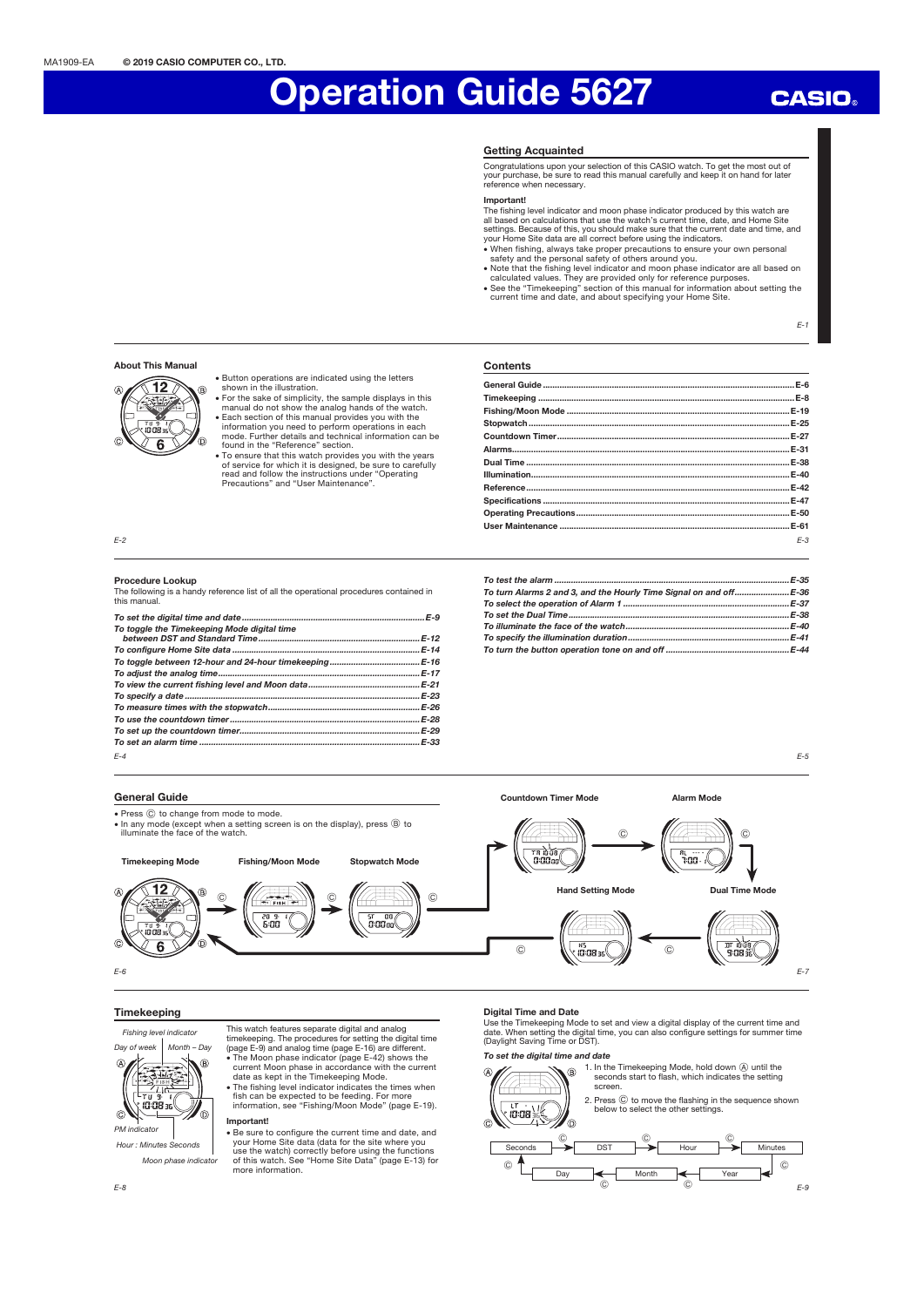## **CASIO**

### Getting Acquainted

Congratulations upon your selection of this CASIO watch. To get the most out of your purchase, be sure to read this manual carefully and keep it on hand for later reference when necessary.

**Contents** 

Countdown Timer...

Specifications

**Important**<br>
Important<br>
all based on calculations that use the watch's current time, date, and Home Site<br>
all based on calculations that use the watch's current time, date, and Home Site<br>
settings. Because of this, you sho

- 
- 

General Guide ..........................................................................................................E-6 Timekeeping ............................................................................................................E-8 Fishing/Moon Mode ..............................................................................................E-19 Stopwatch ..............................................................................................................E-25

Alarms.....................................................................................................................E-31 Dual Time ...............................................................................................................E-38 Illumination .............................................................................................................E-40 Reference ...............................................................................................................E-42

Operating Precautions ..........................................................................................E-50 User Maintenance .................................................................................................E-61

 $F-1$ 

E-5

E-3

## About This Manual 12

G

Ā

x Button operations are indicated using the letters shown in the illustration.

- For the sake of simplicity, the sample displays in this manual do not show the analog hands of the watch.<br>• Each section of this manual provides you with the<br>information you need to perform operations in each<br>mode. Further details and technical information can be<br>found in the "
	- x To ensure that this watch provides you with the years of service for which it is designed, be sure to carefully read and follow the instructions under "Operating Precautions" and "User Maintenance".

E-2

#### Procedure Lookup

The following is a handy reference list of all the operational procedures contained in this manual.

| To toggle the Timekeeping Mode digital time |  |
|---------------------------------------------|--|
|                                             |  |
|                                             |  |
|                                             |  |
|                                             |  |
|                                             |  |
|                                             |  |
|                                             |  |
|                                             |  |
|                                             |  |
| $F-4$                                       |  |

| To turn Alarms 2 and 3, and the Hourly Time Signal on and off E-36 |  |
|--------------------------------------------------------------------|--|
|                                                                    |  |
|                                                                    |  |
|                                                                    |  |
|                                                                    |  |
|                                                                    |  |

Countdown Timer Mode **Alarm Mode** 

General Guide

- Press  $@$  to change from mode to mode. • In any mode (except when a setting screen is on the display), press  $@$  to
- illuminate the face of the watch.



## Timekeeping

Fishing level indicator



 $i\tilde{a}$ : $\tilde{a}$ a

Ō.



Moon phase indicator

This watch features separate digital and analog

- time<br>keeping. The procedures for setting the digital time<br>(page E-9) and analog time (page E-16) are different.<br>• The Moon phase indicator (page E-42) shows the<br>• current Moon phase in accordance with the current<br>clate as
- x The fishing level indicator indicates the times when fish can be expected to be feeding. For more information, see "Fishing/Moon Mode" (page E-19).
- Important!

x Be sure to configure the current time and date, and your Home Site data (data for the site where you use the watch) correctly before using the functions of this watch. See "Home Site Data" (page E-13) for more information.

#### Digital Time and Date

Use the Timekeeping Mode to set and view a digital display of the current time and date. When setting the digital time, you can also configure settings for summer time (Daylight Saving Time or DST).

 $\circ$   $\prime$   $\prime$   $\rightarrow$   $\circ$ 

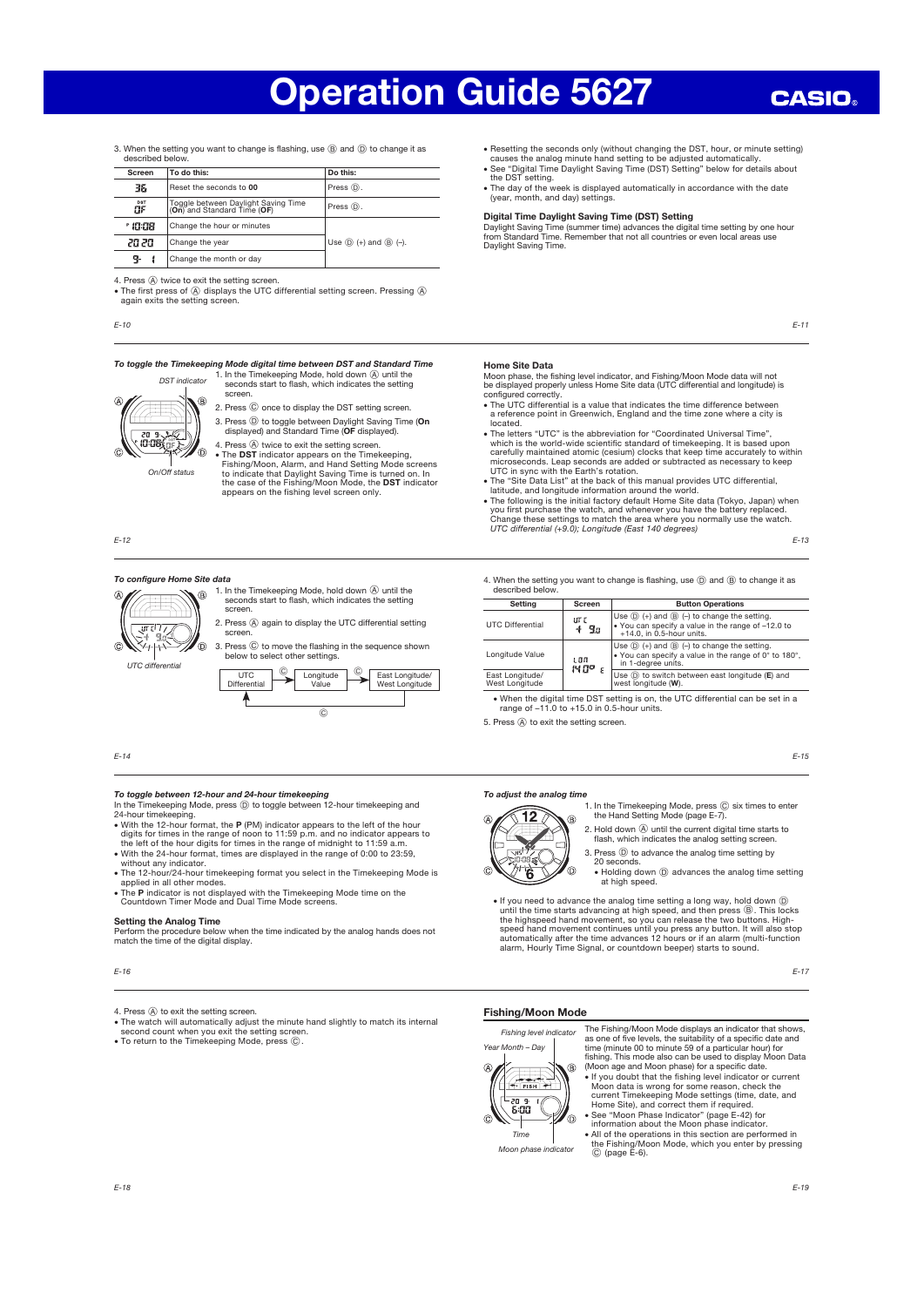3. When the setting you want to change is flashing, use (B) and (D) to change it as described below.

| Screen                                                                          | To do this:                                                     | Do this:            |
|---------------------------------------------------------------------------------|-----------------------------------------------------------------|---------------------|
| 36                                                                              | Reset the seconds to 00                                         | Press $\circledD$ . |
| Toggle between Daylight Saving Time<br>DST<br>۵F<br>(On) and Standard Time (OF) |                                                                 | Press (D).          |
| ° 10:08                                                                         | Change the hour or minutes                                      |                     |
| 20 20                                                                           | Use $\circled{D}$ (+) and $\circled{B}$ (-).<br>Change the year |                     |
| g.                                                                              | Change the month or day                                         |                     |

4. Press  $\widehat{A}$  twice to exit the setting screen.

• The first press of  $\circledA$  displays the UTC differential setting screen. Pressing  $\circledA$  again exits the setting screen.

E-10

#### To toggle the Timekeeping Mode digital time between DST and Standard Time

1. In the Timekeeping Mode, hold down  $\overline{A}$  until the seconds start to flash, which indicates the setting screen.



DST indicator

- 2. Press  $\copyright$  once to display the DST setting screen. 3. Press  $\textcircled{)}$  to toggle between Daylight Saving Time (On displayed) and Standard Time (OF displayed). 4. Press  $\overline{\circledA}$  twice to exit the setting screen.
- The DST indicator appears on the Timekeeping,<br>Fishing/Moon, Alarm, and Hand Setting Mode screens<br>to indicate that Daylight Saving Time is turned on. In<br>the case of the Fishing/Moon Mode, the DST indicator<br>appears on the

 $\overline{C}$ 

E-12

#### To configure Home Site data

1. In the Timekeeping Mode, hold down  $\overline{A}$  until the seconds start to flash, which indicates the setting screen. 2. Press  $\overline{A}$  again to display the UTC differential setting  $\overline{\mathfrak{m}}$ screen. Ó. 3. Press C to move the flashing in the sequence shown below to select other settings. UTC differential<br>
UTC 1. UTC 1. 0  $^{\circ}$ **UTC** Longitude Value East Longitude/ West Longitude Differential

E-14

Ą

- **To toggle between 12-hour and 24-hour timekeeping**<br>In the Timekeeping Mode, press ⓒ to toggle between 12-hour timekeeping and<br>24-hour timekeeping. 24-hour timekeeping.<br>• With the 12-hour format, the P (PM) indicator appears to the left of the hour
- 
- digits for times in the range of noon to 11:59 p.m. and no indicator appears to the left of the hour digits for times in the range of midnight to 11:59 a.m. With the 24-hour format, times are displayed in the range of 0:0
- The 12-hour/24-hour timekeeping format you select in the Timekeeping Mode is applied in all other modes.
- The P indicator is not displayed with the Timekeeping Mode time on the Countdown Timer Mode and Dual Time Mode screens.

#### Setting the Analog Time

Perform the procedure below when the time indicated by the analog hands does not match the time of the digital display.

- The watch will automatically adjust the minute hand slightly to match its internal<br> second count when you exit the setting screen.<br>● To return to the Timekeeping Mode, press ⓒ.
- 
- Resetting the seconds only (without changing the DST, hour, or minute setting)
- causes the analog minute hand setting to be adjusted automatically.<br>• See "Digital Time Daylight Saving Time (DST) Setting" below for details about<br>the DST setting.<br>• The day of the week is displayed automatically in accor
- (year, month, and day) settings.

### Digital Time Daylight Saving Time (DST) Setting

Daylight Saving Time (summer time) advances the digital time setting by one hour from Standard Time. Remember that not all countries or even local areas use Daylight Saving Time.

E-11

### Home Site Data

Moon phase, the fishing level indicator, and Fishing/Moon Mode data will not be displayed properly unless Home Site data (UTC differential and longitude) is

- configured correctly. x The UTC differential is a value that indicates the time difference between a reference point in Greenwich, England and the time zone where a city is located.
- x The letters "UTC" is the abbreviation for "Coordinated Universal Time", which is the world-wide scientific standard of timekeeping. It is based upon<br>carefully maintained atomic (cesium) clocks that keep time accurately to within<br>microseconds. Leap seconds are added or subtracted as necessary t
- 
- The "Site Data List" at the back of this manual provides UTC differential,<br>latitude, and longitude information around the world.<br>
 The following is the initial factory default Home Site data (Tokyo, Japan) when<br>
you fi

E-13

E-15

4. When the setting you want to change is flashing, use  $\overline{O}$  and  $\overline{O}$  to change it as described below.

| Setting                           | Screen        | <b>Button Operations</b>                                                                                                                                 |
|-----------------------------------|---------------|----------------------------------------------------------------------------------------------------------------------------------------------------------|
| <b>UTC Differential</b>           | ur c<br>- 9 a | Use $\circled{D}$ (+) and $\circled{B}$ (-) to change the setting.<br>. You can specify a value in the range of -12.0 to<br>$+14.0$ . in 0.5-hour units. |
| Longitude Value                   | េពព<br>14 A.O | Use $(\mathbb{D})$ (+) and $(\mathbb{B})$ (-) to change the setting.<br>. You can specify a value in the range of 0° to 180°,<br>in 1-degree units.      |
| East Longitude/<br>West Longitude |               | Use $(D)$ to switch between east longitude ( $E$ ) and<br>west longitude (W).                                                                            |

x When the digital time DST setting is on, the UTC differential can be set in a range of –11.0 to +15.0 in 0.5-hour units.

5. Press  $\overline{A}$  to exit the setting screen.

o

#### To adjust the analog time



1. In the Timekeeping Mode, press  $\copyright$  six times to enter the Hand Setting Mode (page E-7).

- 2. Hold down  $\widehat{A}$  until the current digital time starts to flash, which indicates the analog setting screen.
- 3. Press  $\circledD$  to advance the analog time setting by

20 seconds.<br>• Holding down  $\textcircled{\scriptsize{D}}}$  advances the analog time setting at high speed.

• If you need to advance the analog time setting a long way, hold down  $\circled{0}$ <br>until the time starts advancing at high speed, and then press  $\circled{0}$ . This locks<br>the highspeed hand movement, so you can release the two bu alarm, Hourly Time Signal, or countdown beeper) starts to sound.

#### Fishing/Moon Mode

Fishing level indicator Year Month – Day



Moon data is wrong for some reason, check the<br>current Timekeeping Mode settings (time, date, and<br>Home Site), and correct them if required.<br>• See "Moon Phase Indicator" (page E-42) for<br>information about the Moon phase indic

x All of the operations in this section are performed in the Fishing/Moon Mode, which you enter by pressing C (page E-6). Moon phase indicator

# time (minute 00 to minute 59 of a particular hour) for<br>fishing. This mode also can be used to display Moon Data<br>(Moon age and Moon phase) for a specific date.<br>• If you doubt that the fishing level indicator or current

- - õ

The Fishing/Moon Mode displays an indicator that shows, as one of five levels, the suitability of a specific date and

E-19

E-16

<sup>4.</sup> Press  $\widehat{A}$  to exit the setting screen.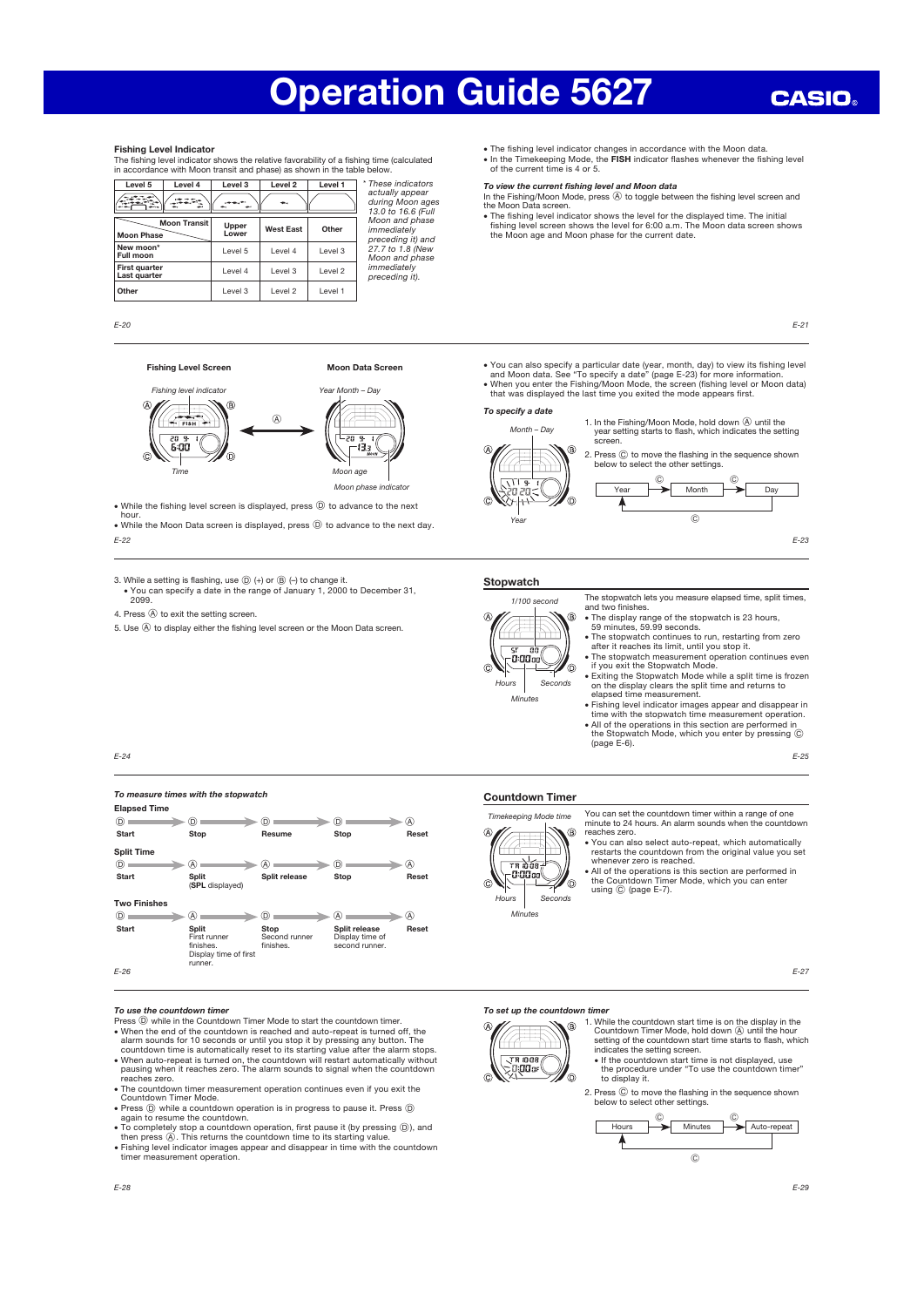#### Fishing Level Indicator

The fishing level indicator shows the relative favorability of a fishing time (calculated in accordance with Moon transit and phase) as shown in the table below.

| Level 5                              | Level 4             | Level 3        | Level <sub>2</sub> | Level 1 | * These indicators                                        |
|--------------------------------------|---------------------|----------------|--------------------|---------|-----------------------------------------------------------|
|                                      |                     |                |                    |         | actually appear<br>during Moon ages<br>13.0 to 16.6 (Full |
| <b>Moon Phase</b>                    | <b>Moon Transit</b> | Upper<br>Lower | <b>West East</b>   | Other   | Moon and phase<br>immediately<br>preceding it) and        |
| New moon*<br>Full moon               |                     | Level 5        | Level 4            | Level 3 | 27.7 to 1.8 (New<br>Moon and phase                        |
| <b>First quarter</b><br>Last quarter |                     | Level 4        | Level 3            | Level 2 | immediately<br>precedina it).                             |
| Other                                |                     | Level 3        | Level 2            | Level 1 |                                                           |

 $F-20$ 

#### Fishing Level Screen Moon Data Screen

Fishing level indicator The Control of the Year Month – Day  $\circledR$ **FISH** -20.3  $5.00$ ံ⊢∂∍ ൹ Moon age Moon phase indicato

• While the fishing level screen is displayed, press  $@$  to advance to the next

E-22 hour. • While the Moon Data screen is displayed, press  $\textcircled{D}$  to advance to the next day.

E-24

3. While a setting is flashing, use  $\textcircled{D}$  (+) or  $\textcircled{B}$  (-) to change it. x You can specify a date in the range of January 1, 2000 to December 31, 2099.

- 4. Press  $\textcircled{A}$  to exit the setting screen.
- 5. Use  $\overline{A}$  to display either the fishing level screen or the Moon Data screen.



To specify a date

Month – Day

the Moon Data screen.

1. In the Fishing/Moon Mode, hold down  $\overline{A}$  until the year setting starts to flash, which indicates the setting screen.





• You can also specify a particular date (year, month, day) to view its fishing level<br>and Moon data. See "To specify a date" (page E-23) for more information.<br>• When you enter the Fishing/Moon Mode, the screen (fishing le that was displayed the last time you exited the mode appears first.

x The fishing level indicator shows the level for the displayed time. The initial fishing level screen shows the level for 6:00 a.m. The Moon data screen shows the Moon age and Moon phase for the current date.

• The fishing level indicator changes in accordance with the Moon data. • In the Timekeeping Mode, the FISH indicator flashes whenever the fishing level of the current time is 4 or 5. **To view the current fishing level and Moon data**<br>In the Fishing/Moon Mode, press  $@$  to toggle between the fishing level screen and

E-23

E-21

The stopwatch lets you measure elapsed time, split times, and two finishes.

reaches zero.



Countdown Timer

Timekeeping Mode time

 $\overline{r}$   $\overline{n}$   $\overline{n}$   $\overline{n}$   $\overline{s}$ -0:00a

 $\overline{M}$ Houre

- x The display range of the stopwatch is 23 hours, 59 minutes, 59.99 seconds. x The stopwatch continues to run, restarting from zero
- after it reaches its limit, until you stop it.
- x The stopwatch measurement operation continues even if you exit the Stopwatch Mode. x Exiting the Stopwatch Mode while a split time is frozen
- on the display clears the split time and returns to elapsed time measurement.
- x Fishing level indicator images appear and disappear in time with the stopwatch time measurement operation. x All of the operations in this section are performed in the Stopwatch Mode, which you enter by pressing C (page E-6).

E-25

E-27

| To measure times with the stopwatch |                                                                               |                                    |                                                    |       |  |
|-------------------------------------|-------------------------------------------------------------------------------|------------------------------------|----------------------------------------------------|-------|--|
| <b>Elapsed Time</b>                 |                                                                               |                                    |                                                    |       |  |
| (D)                                 | D)                                                                            | D.                                 | Θ.                                                 | W     |  |
| <b>Start</b>                        | Stop                                                                          | Resume                             | Stop                                               | Reset |  |
| <b>Split Time</b>                   |                                                                               |                                    |                                                    |       |  |
| (D)                                 | A)                                                                            | A)                                 | D)                                                 | (A)   |  |
| <b>Start</b>                        | <b>Split</b><br>(SPL displayed)                                               | Split release                      | <b>Stop</b>                                        | Reset |  |
| <b>Two Finishes</b>                 |                                                                               |                                    |                                                    |       |  |
| (D)                                 | A.                                                                            | D.                                 | (A                                                 | (A)   |  |
| <b>Start</b><br>- - -               | <b>Split</b><br>First runner<br>finishes.<br>Display time of first<br>runner. | Stop<br>Second runner<br>finishes. | Split release<br>Display time of<br>second runner. | Reset |  |

E-26

#### To use the countdown timer

Press (D) while in the Countdown Timer Mode to start the countdown timer.

- When the end of the countdown is reached and auto-repeat is turned off, the alarm sounds for 10 seconds or until you stop it by pressing any button. The countdown time is automatically reset to its starting value after t
- x The countdown timer measurement operation continues even if you exit the Countdown Timer Mode.
- Press  $(D)$  while a countdown operation is in progress to pause it. Press  $(D)$ again to resume the countdown.
- To completely stop a countdown operation, first pause it (by pressing  $(\mathbb{D})$ ), and then press  $(\mathbb{A})$ . This returns the countdown time to its starting value.
- x Fishing level indicator images appear and disappear in time with the countdown timer measurement operation.

Seconds

൹



1. While the countdown start time is on the display in the countdown Timer Mode, hold down  $\odot$  until the hour Setting of the countdown start time starts to flash, which indicates the setting screen.<br>Indicates the start s



2. Press C to move the flashing in the sequence shown below to select other settings.



You can set the countdown timer within a range of one minute to 24 hours. An alarm sounds when the countdown

x You can also select auto-repeat, which automatically restarts the countdown from the original value you set<br>whenever zero is reached.<br>All of the operations is this section are performed in<br>the Countdown Timer Mode, which you can enter<br>using © (page E-7).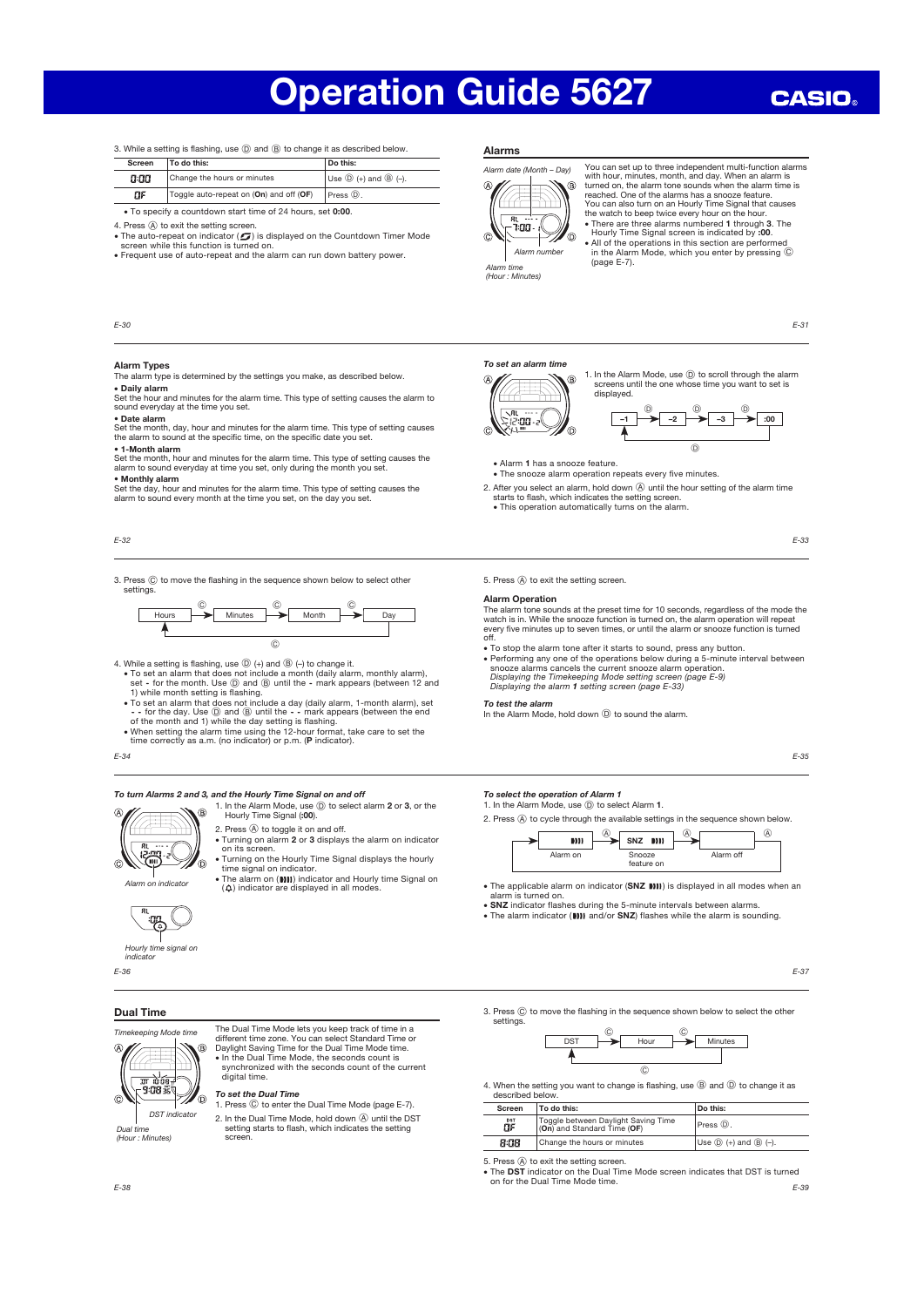**CASIO** 

3. While a setting is flashing, use  $(D)$  and  $(B)$  to change it as described below.

| To do this:<br>Screen |                                         | Do this:                                     |
|-----------------------|-----------------------------------------|----------------------------------------------|
| a:aa                  | Change the hours or minutes             | Use $\circled{D}$ (+) and $\circled{B}$ (-). |
| ПF                    | Toggle auto-repeat on (On) and off (OF) | $Press ①.$                                   |

#### IJF.  $\bullet$  To specify a countdown start time of 24 hours, set 0:00.

- 4. Press  $\circledA$  to exit the setting screen.<br>• The auto-repeat on indicator (5) is displayed on the Countdown Timer Mode screen while this function is turned on.
- x Frequent use of auto-repeat and the alarm can run down battery power.

#### $F-30$

## Alarm Types

The alarm type is determined by the settings you make, as described below. x Daily alarm

- Set the hour and minutes for the alarm time. This type of setting causes the alarm to sound everyday at the time you set.
- Date alarm Set the month, day, hour and minutes for the alarm time. This type of setting causes the alarm to sound at the specific time, on the specific date you set.
- 1-Month alarm

Set the month, hour and minutes for the alarm time. This type of setting causes the alarm to sound everyday at time you set, only during the month you set.

• Monthly alarm Set the day, hour and minutes for the alarm time. This type of setting causes the

alarm to sound every month at the time you set, on the day you set.

E-32

3. Press  $\circled{c}$  to move the flashing in the sequence shown below to select other settings.



4. While a setting is flashing, use  $(D)$  (+) and  $(B)$  (-) to change it.

- To set an alarm that does not include a month (daily alarm, monthly alarm),<br>set for the month. Use  $\overline{Q}$  and  $\overline{Q}$  until the mark appears (between 12 and<br>1) while month setting is flashing.<br>• To set an alarm t
- 
- of the month and 1) while the day setting is flashing.<br>• When setting the alarm time using the 12-hour format, take care to set the<br>time correctly as a.m. (no indicator) or p.m. (P indicator).
- 

## E-34

#### To turn Alarms 2 and 3, and the Hourly Time Signal on and off

- 1. In the Alarm Mode, use  $\overline{O}$  to select alarm 2 or 3, or the Hourly Time Signal (:00). ® 2. Press  $\widehat{A}$  to toggle it on and off.
- x Turning on alarm 2 or 3 displays the alarm on indicator on its screen. Turning on the Hourly Time Signal displays the hourly ഻ഁ
- time signal on indicator. Indicator The alarm on (**[1]**) indicator and Hourly time Signal on **Alarm on indicator** ( $\hat{\varphi}$ ) indicator are displayed in all modes.

E-36 Hourly time signal on indicator

#### Dual Time



The Dual Time Mode lets you keep track of time in a different time zone. You can select Standard Time or Daylight Saving Time for the Dual Time Mode time. x In the Dual Time Mode, the seconds count is synchronized with the seconds count of the current digital time.

#### To set the Dual Time

1. Press  $\copyright$  to enter the Dual Time Mode (page E-7). 2. In the Dual Time Mode, hold down  $\overline{\omega}$  until the DST setting starts to flash, which indicates the setting Alarms



You can set up to three independent multi-function alarms with hour, minutes, month, and day. When an alarm is<br>turned on, the alarm tone sounds when the alarm time is<br>reached. One of the alarms has a snooze feature.<br>You can also turn on an Hourly Time Signal that causes<br>the watch

• There are three alarms numbered 1 through 3. The Hourly Time Signal screen is indicated by :00.<br>
Alarm number<br>
Alarm number<br>
(page E-7).<br>
Alarm time (page E-7).

E-31

#### To set an alarm time



1. In the Alarm Mode, use  $@$  to scroll through the alarm screens until the one whose time you want to set is displayed.





- x The snooze alarm operation repeats every five minutes.
- 2. After you select an alarm, hold down  $\overline{A}$  until the hour setting of the alarm time starts to flash, which indicates the setting screen. • This operation automatically turns on the alarm.

E-33

5. Press  $\textcircled{A}$  to exit the setting screen.

#### Alarm Operation

The alarm tone sounds at the preset time for 10 seconds, regardless of the mode the watch is in. While the snooze function is turned on, the alarm operation will repeat every five minutes up to seven times, or until the alarm or snooze function is turned off.

- $\bullet$  To stop the alarm tone after it starts to sound, press any button.
- x Performing any one of the operations below during a 5-minute interval between snooze alarms cancels the current snooze alarm operation. Displaying the Timekeeping Mode setting screen (page E-9) Displaying the alarm 1 setting screen (page E-33)
- 

## To test the alarm

In the Alarm Mode, hold down  $\overline{D}$  to sound the alarm.

E-35

#### To select the operation of Alarm 1

- 1. In the Alarm Mode, use  $\textcircled{1}$  to select Alarm 1.
- 2. Press  $\widehat{A}$  to cycle through the available settings in the sequence shown below.
	- $^{\circledR}$  $\circledR$  $\mathbf{m}$ SNZ DIII Alarm on Snooze Alarm of feature on
- The applicable alarm on indicator (SNZ IIII) is displayed in all modes when an alarm is turned on.
- SNZ indicator flashes during the 5-minute intervals between alarms.<br>• The alarm indicator (DIII and/or SNZ) flashes while the alarm is sounding.

E-37

3. Press  $\copyright$  to move the flashing in the sequence shown below to select the other settings.



4. When the setting you want to change is flashing, use  $\circledB$  and  $\circledD$  to change it as described below.

| Screen    | To do this:                                                        | Do this:                                     |
|-----------|--------------------------------------------------------------------|----------------------------------------------|
| DST<br>۵F | Toggle between Daylight Saving Time<br>(On) and Standard Time (OF) | Press (D).                                   |
| 8:08      | Change the hours or minutes                                        | Use $\circled{D}$ (+) and $\circled{B}$ (-). |

E-39 5. Press  $\textcircled{A}$  to exit the setting screen.<br>• The **DST** indicator on the Dual Time Mode screen indicates that DST is turned on for the Dual Time Mode time.<br>E-38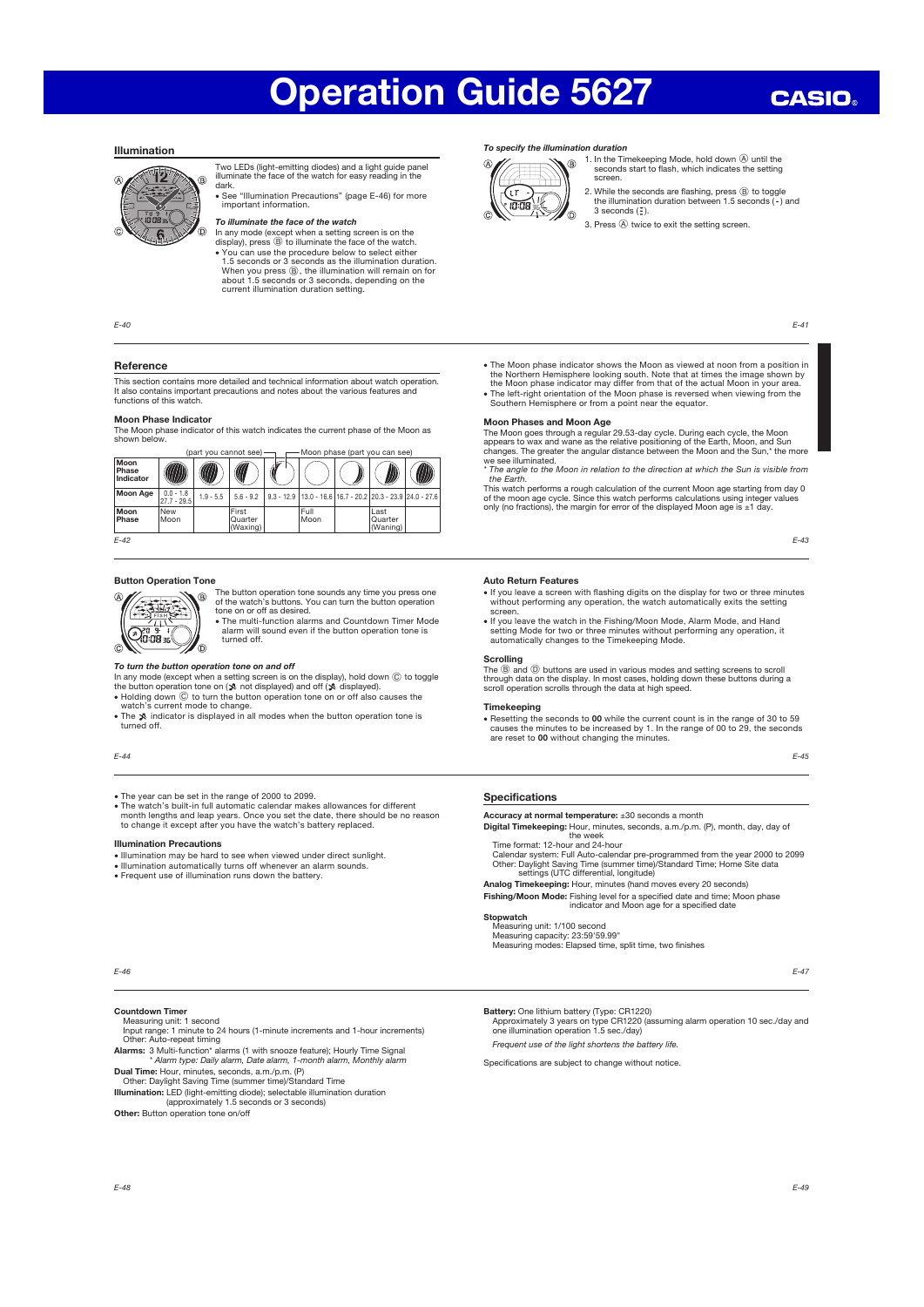## Illumination



Two LEDs (light-emitting diodes) and a light guide panel illuminate the face of the watch for easy reading in the dark.

x See "Illumination Precautions" (page E-46) for more important information.

## To illuminate the face of the watch

In any mode (except when a setting screen is on the<br>display), press  $(\odot)$  to illuminate the face of the watch.<br>• You can use the procedure below to select either<br>1.5 seconds or 3 seconds as the illumination duration.<br>When current illumination duration setting.

 $F - A0$ 

## Reference

This section contains more detailed and technical information about watch operation. It also contains important precautions and notes about the various features and functions of this watch.

**Moon Phase Indicator**<br>The Moon phase indicator of this watch indicates the current phase of the Moon as<br>shown below.

|                            | Moon phase (part you can see)<br>(part vou cannot see) - |             |                              |  |                                                                      |  |                             |  |
|----------------------------|----------------------------------------------------------|-------------|------------------------------|--|----------------------------------------------------------------------|--|-----------------------------|--|
| Moon<br>Phase<br>Indicator |                                                          |             | U                            |  |                                                                      |  |                             |  |
| Moon Age                   | $0.0 - 1.8$<br>$27.7 - 29.5$                             | $1.9 - 5.5$ | $5.6 - 9.2$                  |  | $9.3 - 12.9$   13.0 - 16.6   16.7 - 20.2   20.3 - 23.9   24.0 - 27.6 |  |                             |  |
| Moon<br>Phase              | New<br>Moon                                              |             | First<br>Quarter<br>(Waxing) |  | Full<br>Moon                                                         |  | Last<br>Quarter<br>(Waning) |  |
| $F-42$                     |                                                          |             |                              |  |                                                                      |  |                             |  |

## Button Operation Tone āt

 $Q_{0.08}^{36}$ 

The button operation tone sounds any time you press one of the watch's buttons. You can turn the button operation tone on or off as desired. x The multi-function alarms and Countdown Timer Mode

alarm will sound even if the button operation tone is turned off. Ō.

#### To turn the button operation tone on and off

In any mode (except when a setting screen is on the display), hold down  $\overline{C}$  to toggle the button operation tone on ( $\hat{X}$  not displayed) and off ( $\hat{X}$  displayed).

- Holding down  $\odot$  to turn the button operation tone on or off also causes the watch's current mode to change. • The  $\hat{x}$  indicator is displayed in all modes when the button operation tone is
- turned off.

#### E-44

• The year can be set in the range of 2000 to 2099.<br>• The watch's built-in full automatic calendar makes allowances for different month lengths and leap years. Once you set the date, there should be no reason to change it

#### Illumination Precautions

• Illumination may be hard to see when viewed under direct sunlight.

- x Illumination automatically turns off whenever an alarm sounds. x Frequent use of illumination runs down the battery.
- 

#### To specify the illumination duration



1. In the Timekeeping Mode, hold down  $\circledA$  until the seconds start to flash, which indicates the setting screen.

2. While the seconds are flashing, press  $@$  to toggle the illumination duration between 1.5 seconds ( $\cdot$ ) and  $3$  seconds  $(7)$ .

3. Press  $\widehat{A}$  twice to exit the setting screen.

**CASIO** 

- The Moon phase indicator shows the Moon as viewed at noon from a position in<br>the Northern Hemisphere looking south. Note that at times the image shown by<br>the Moon phase indicator may differ from that of the actual Moon i
- Southern Hemisphere or from a point near the equator.

### Moon Phases and Moon Age

The Moon goes through a regular 29.53-day cycle. During each cycle, the Moon<br>appears to wax and wane as the relative positioning of the Earth, Moon, and Sun<br>changes. The greater the angular distance between the Moon and th

the Earth.

This watch performs a rough calculation of the current Moon age starting from day 0 of the moon age cycle. Since this watch performs calculations using integer values only (no fractions), the margin for error of the displayed Moon age is ±1 day.

E-43

#### Auto Return Features

- x If you leave a screen with flashing digits on the display for two or three minutes without performing any operation, the watch automatically exits the setting screen.
- x If you leave the watch in the Fishing/Moon Mode, Alarm Mode, and Hand setting Mode for two or three minutes without performing any operation, it automatically changes to the Timekeeping Mode.

#### Scrolling

The ⑧ and ⑨ buttons are used in various modes and setting screens to scroll<br>through data on the display. In most cases, holding down these buttons during a<br>scroll operation scrolls through the data at high speed.

#### Timekeeping

x Resetting the seconds to 00 while the current count is in the range of 30 to 59 causes the minutes to be increased by 1. In the range of 00 to 29, the seconds are reset to 00 without changing the minutes.

E-45

#### Specifications

Accuracy at normal temperature: ±30 seconds a month

**Digital Timekeeping:** Hour, minutes, seconds, a.m./p.m. (P), month, day, day of<br>Time format: 12-hour and 24-hour<br>Calendar system: Full Auto-calendar pre-programmed from the year 2000 to 2099<br>Other: Daylight Saving Time (s

- Analog Timekeeping: Hour, minutes (hand moves every 20 seconds)
- Fishing/Moon Mode: Fishing level for a specified date and time; Moon phase indicator and Moon age for a specified date **Stopwatch**

Measuring unit: 1/100 second Measuring capacity: 23:59'59.99" Measuring modes: Elapsed time, split time, two finishes

E-47

### Countdown Timer

E-46

Measuring unit: 1 second<br>Input range: 1 minute to 24 hours (1-minute increments and 1-hour increments<br>Other: Auto-repeat timing<br>**Alarms:** 3 Multi-function\* alarms (1 with snooze feature); Hourly Time Signal<br>**Alarms:** \* Ala

Dual Time: Hour, minutes, seconds, a.m./p.m. (P) Other: Daylight Saving Time (summer time)/Standard Time

Illumination: LED (light-emitting diode); selectable illumination duration<br>(approximately 1.5 seconds or 3 seconds)

Other: Button operation tone on/off

Battery: One lithium battery (Type: CR1220)

Approximately 3 years on type CR1220 (assuming alarm operation 10 sec./day and one illumination operation 1.5 sec./day)

Frequent use of the light shortens the battery life.

Specifications are subject to change without notice.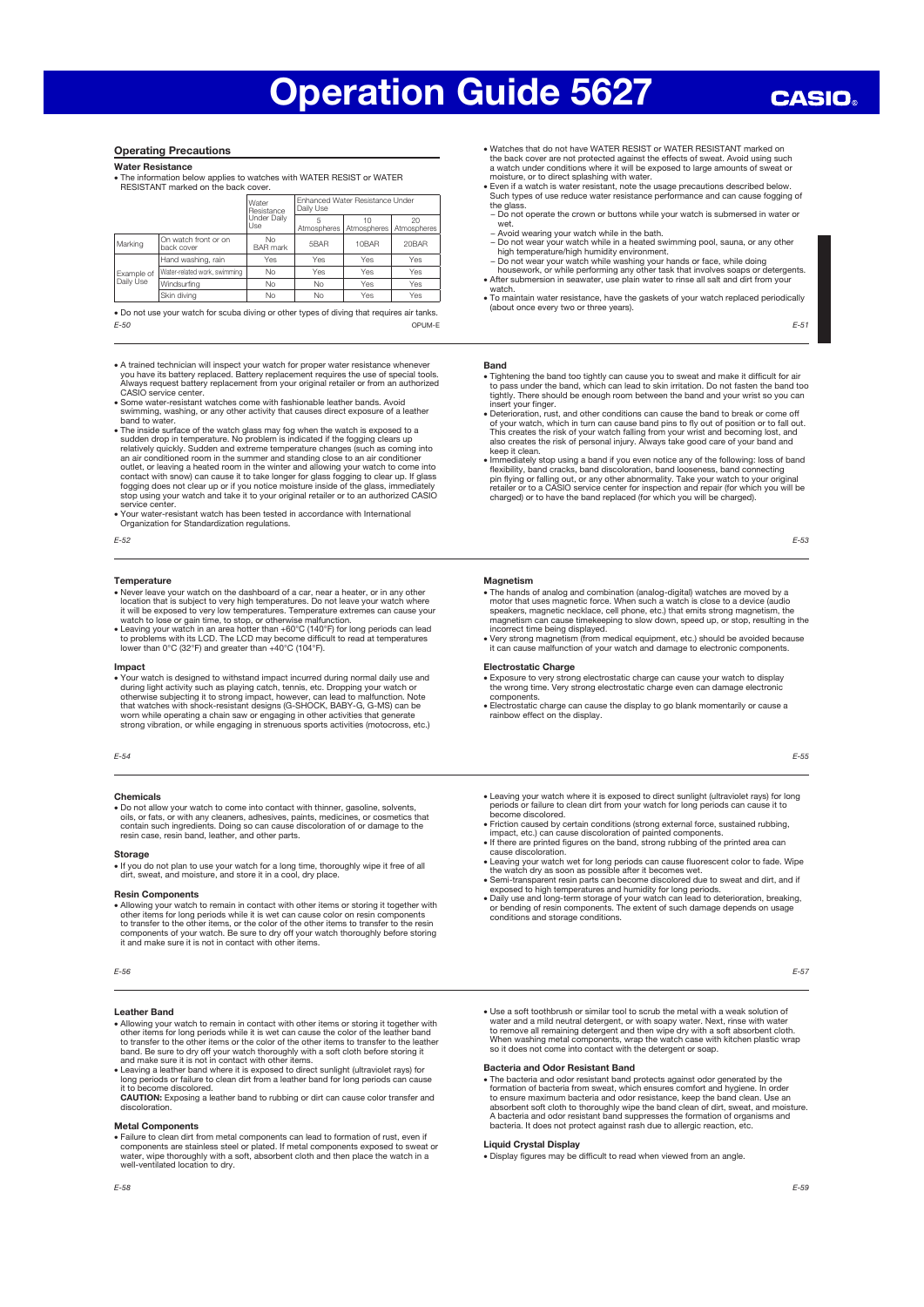#### Operating Precautions

Water Resistance

x The information below applies to watches with WATER RESIST or WATER RESISTANT marked on the back cove

|            |                                    | Water<br>Resistance               | Enhanced Water Resistance Under<br>Daily Use |             |                   |  |
|------------|------------------------------------|-----------------------------------|----------------------------------------------|-------------|-------------------|--|
|            |                                    | Under Daily<br>Use                | Atmospheres                                  | Atmospheres | 20<br>Atmospheres |  |
| Marking    | On watch front or on<br>back cover | N <sub>0</sub><br><b>BAR</b> mark | 5 <sub>B</sub> A <sub>R</sub>                | 10BAR       | 20BAR             |  |
|            | Hand washing, rain                 | Yes                               | Yes                                          | Yes         | Yes               |  |
| Example of | Water-related work, swimming       | <b>No</b>                         | Yes                                          | Yes         | Yes               |  |
| Daily Use  | Windsurfing                        | <b>No</b>                         | No                                           | Yes         | Yes               |  |
|            | Skin divina                        | No                                | No                                           | Yes         | Yes               |  |

E-50 . Do not use your watch for scuba diving or other types of diving that requires air tanks. OPUM-E

• A trained technician will inspect your watch for proper water resistance whenever<br>you have its battery replaced. Battery replacement requires the use of special tools.<br>Always request battery replacement from your origina

x Some water-resistant watches come with fashionable leather bands. Avoid swimming, washing, or any other activity that causes direct exposure of a leather

band to water.<br>
• The inside surface of the watch glass may fog when the watch is exposed to a<br>
• The inside surface of the watch glass may fog when the value of the surface of the sudden drop in temperature. No problem is contact with snow) can cause it to take longer for glass fogging to clear up. If glass fogging does not clear up or if you notice moisture inside of the glass, immediately stop using your watch and take it to your original retailer or to an authorized CASIO service center.

- x Your water-resistant watch has been tested in accordance with International Organization for Standardization regulations.
- E-52

#### **Temperature**

- Never leave your watch on the dashboard of a car, near a heater, or in any other<br>location that is subject to very high temperatures. Do not leave your watch where<br>it will be exposed to very low temperatures. Temperature while the supersed to very form temperatures. Temperature sitter<br>watch to lose or gain time, to stop, or otherwise malfunction.
- x Leaving your watch in an area hotter than +60°C (140°F) for long periods can lead to problems with its LCD. The LCD may become difficult to read at temperatures lower than 0°C (32°F) and greater than +40°C (104°F).

**Impact**<br>• Your watch is designed to withstand impact incurred during normal daily use and • Your watch is designed to withstand impact incurred during normal daily use and during light activity such as playing catch, tennis, etc. Dropping your watch or orherwise subjecting it to strong impact, however, can lead

#### E-54

#### Chemicals

• Do not allow your watch to come into contact with thinner, gasoline, solvents, oils or fats or with any cleaners adhesives paints medicines or cosmetics that oils, or fats, or with any cleaners, adhesives, paints, medicines, or cosmetics that contain such ingredients. Doing so can cause discoloration of or damage to the resin case, resin band, leather, and other parts.

#### Storage

x If you do not plan to use your watch for a long time, thoroughly wipe it free of all dirt, sweat, and moisture, and store it in a cool, dry place.

#### Resin Components

• Allowing your watch to remain in contact with other items or storing it together with<br>other items for long periods while it is wet can cause color on resin components<br>to transfer to the other items, or the color of the o it and make sure it is not in contact with other items.

#### Leather Band

- Allowing your watch to remain in contact with other items or storing it together with<br>other items for long periods while it is wet can cause the color of the leather band<br>to transfer to the other items or the color of th band. Be sure to dry off your watch thoroughly with a soft cloth before storing it and make sure it is not in contact with other items.
- Leaving a leather band where it is exposed to direct sunlight (ultraviolet rays) for<br>long periods or failure to clean dirt from a leather band for long periods can cause<br>it to become discolored.<br>**CAUTION:** Exposing a lea

#### Metal Components

x Failure to clean dirt from metal components can lead to formation of rust, even if components are stainless steel or plated. If metal components exposed to sweat or water, wipe thoroughly with a soft, absorbent cloth and then place the watch in a well-ventilated location to dry.

- x Watches that do not have WATER RESIST or WATER RESISTANT marked on the back cover are not protected against the effects of sweat. Avoid using such a watch under conditions where it will be exposed to large amounts of sweat or
- moisture, or to direct splashing with water.<br>● Even if a watch is water resistant, note the usage precautions described below.<br>○ Such types of use reduce water resistance performance and can cause fogging of
- the glass − Do not operate the crown or buttons while your watch is submersed in water or
- wet.
- − Avoid wearing your watch while in the bath.
- Do not wear your watch while in a heated swimming pool, sauna, or any other<br>high temperature/high humidity environment.<br>- Do not wear your watch while washing your hands or face, while doing<br>housework, or while performin
- watch.
- x To maintain water resistance, have the gaskets of your watch replaced periodically (about once every two or three years).

## E-51

#### Band

- x Tightening the band too tightly can cause you to sweat and make it difficult for air to pass under the band, which can lead to skin irritation. Do not fasten the band too tightly. There should be enough room between the band and your wrist so you can
- insert your finger.<br>
 Deterioration, rust, and other conditions can cause the band to break or come off<br>
 Of your watch, which in turn can cause band pins to fly out of position or to fall out.<br>
This creates the risk of
- keep it clean.<br>
 Immediately stop using a band if you even notice any of the following: loss of band<br>  $\bullet$  Immediately stop using a band discoloration, band looseness, band connecting<br>
pin flying or falling out, or any ot

E-53

#### **Magnetism**

- The hands of analog and combination (analog-digital) watches are moved by a motor that uses magnetic force. When such a speaking speaking popularious speaking popularious speaking popularious speaking popularious speaking magnetism can cause timekeeping to slow down, speed up, or stop, resulting in the
- incorrect time being displayed. x Very strong magnetism (from medical equipment, etc.) should be avoided because it can cause malfunction of your watch and damage to electronic components.

#### Electrostatic Charge

- $\bullet$  Exposure to very strong electrostatic charge can cause your watch to display the wrong time. Very strong electrostatic charge even can damage electronic  $\bullet$  Electrostatic charge can cause the display to go blank mom
- 

E-55

- x Leaving your watch where it is exposed to direct sunlight (ultraviolet rays) for long periods or failure to clean dirt from your watch for long periods can cause it to become discolored.
- x Friction caused by certain conditions (strong external force, sustained rubbing, impact, etc.) can cause discoloration of painted components.
- x If there are printed figures on the band, strong rubbing of the printed area can
- cause discoloration.<br>• Leaving your watch wet for long periods can cause fluorescent color to fade. Wipe<br>• the watch dry as soon as possible after it becomes wet.<br>• Semi-transparent resin parts can become discolored due to
- 
- x Daily use and long-term storage of your watch can lead to deterioration, breaking, or bending of resin components. The extent of such damage depends on usage conditions and storage conditions.

x Use a soft toothbrush or similar tool to scrub the metal with a weak solution of water and a mild neutral detergent, or with soapy water. Next, rinse with water<br>to remove all remaining detergent and then wipe dry with a soft absorbent cloth.<br>When washing metal components, wrap the watch case with kitch

#### Bacteria and Odor Resistant Band

• The bacteria and odor resistant band protects against odor generated by the formation of bacteria from sweat, which ensures comfort and projene. In order to ensure maximum bacteria and odor resistance, keep the band clea bacteria. It does not protect against rash due to allergic reaction, etc.

#### Liquid Crystal Display

x Display figures may be difficult to read when viewed from an angle.

E-56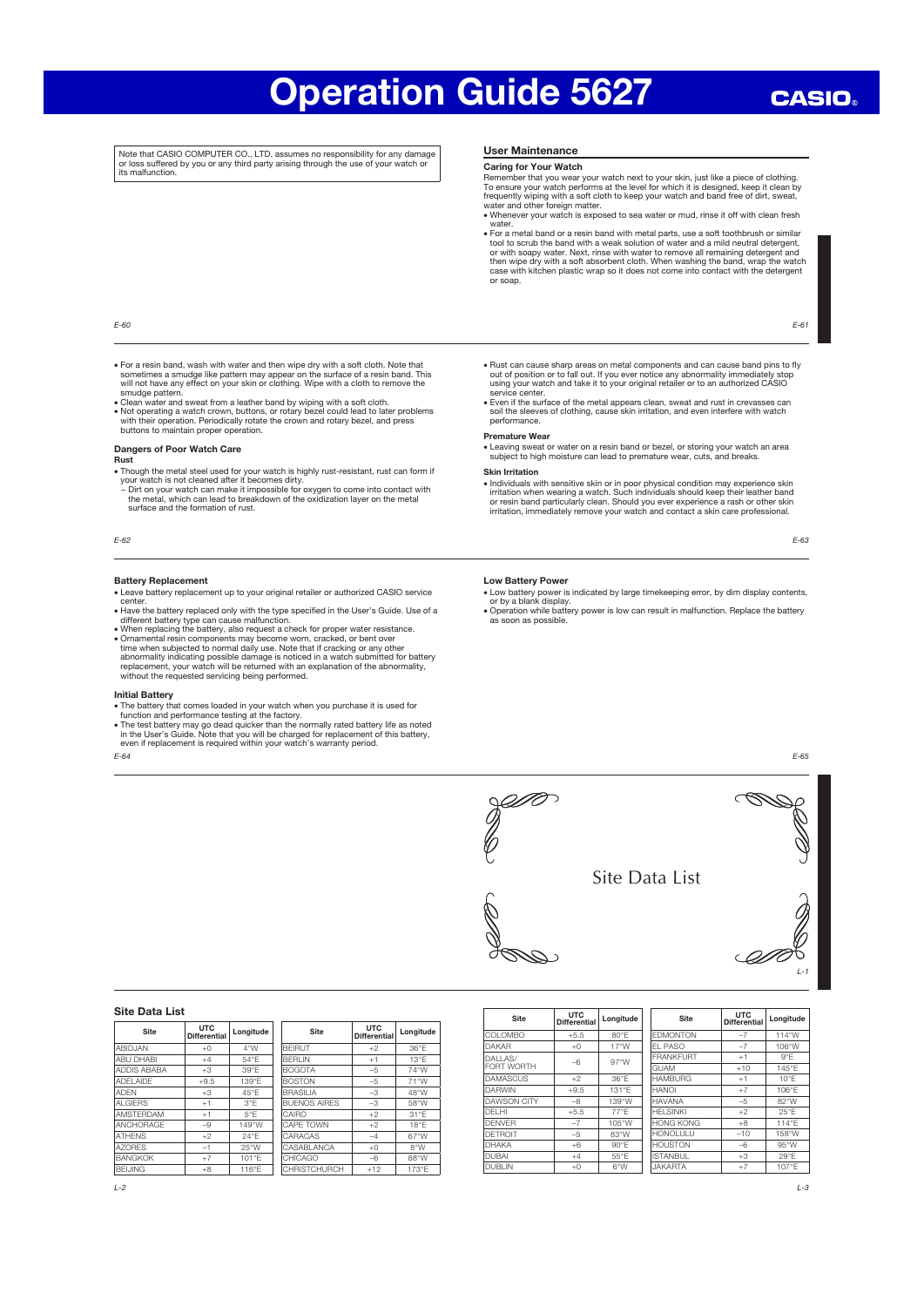Note that CASIO COMPUTER CO., LTD. assumes no responsibility for any damage or loss suffered by you or any third party arising through the use of your watch or its malfunction.

#### User Maintenance

#### Caring for Your Watch

Remember that you wear your watch next to your skin, just like a piece of clothing.<br>To ensure your watch performs at the level for which it is designed, keep it clean by<br>frequently wiping with a soft cloth to keep your wat

water. x For a metal band or a resin band with metal parts, use a soft toothbrush or similar

tool to scrub the band with a weak solution of water and a mild neutral detergent,<br>or with soapy water. Next, rinse with water to remove all remaining detergent and<br>then wipe dry with a soft absorbent cloth. When washing t or soap.

E-61

#### E-60

- For a resin band, wash with water and then wipe dry with a soft cloth. Note that<br>sometimes a smudge like pattern may appear on the surface of a resin band. This<br>will not have any effect on your skin or clothing. Wipe wi smudge pattern
- x Clean water and sweat from a leather band by wiping with a soft cloth. x Not operating a watch crown, buttons, or rotary bezel could lead to later problems with their operation. Periodically rotate the crown and rotary bezel, and press buttons to maintain proper operation.

### Dangers of Poor Watch Care

#### Rust

- Though the metal steel used for your watch is highly rust-resistant, rust can form if<br>your watch is not cleaned after it becomes dirty.<br>- Dirt on your watch can make it impossible for oxygen to come into contact with<br>the m
- surface and the formation of rust.

E-62

#### Battery Replacement

- Leave battery replacement up to your original retailer or authorized CASIO service<br>center.<br>• Have the battery replaced only with the type specified in the User's Guide. Use of a
- 
- different battery type can cause malfunction.<br>• When replacing the battery, also request a check for proper water resistance.<br>• Ornamental resin components may become worn, cracked, or bent over<br>time when subjected to norm

- 
- **Initial Battery**<br>
 The battery that comes loaded in your watch when you purchase it is used for<br>
 The the attery that comes loaded in your watch when you purchase it is used for<br>
 The test battery may go dead quicker t

E-64

- Rust can cause sharp areas on metal components and can cause band pins to fly<br>out of position or to fall out. If you ever notice any abnormality immediately stop<br>using your watch and take it to your original retailer or
- service center. x Even if the surface of the metal appears clean, sweat and rust in crevasses can soil the sleeves of clothing, cause skin irritation, and even interfere with watch performance.

## Premature Wear

x Leaving sweat or water on a resin band or bezel, or storing your watch an area subject to high moisture can lead to premature wear, cuts, and breaks.

#### Skin Irritation

Individuals with sensitive skin or in poor physical condition may experience skin<br>irritation when wearing a watch. Such individuals should keep their leather band<br>or resin band particularly clean. Should you ever experienc irritation, immediately remove your watch and contact a skin care professional.

E-63

#### Low Battery Power

- Low battery power is indicated by large timekeeping error, by dim display contents,<br>or by a blank display.<br>• Operation while battery power is low can result in malfunction. Replace the battery
- as soon as possible.

E-65



OLISTON

Site UTC Longitude  $COLOMBO$   $+5.5$   $80°F$ 

DALLAS/ FORT WORTH –6 97°W DAMASCUS +2 36°E DARWIN +9.5 131°E AWSON CITY –8 139°W DELHI +5.5 77°E DENVER –7 105°W DETROIT -5 83°W<br>DHAKA +6 90°F

DUBAI +4 55°E DUBLIN | +0 | 6°W

NKAF

 $\overline{DHAKA}$ 

### Site Data List

| Site               | <b>UTC</b><br><b>Differential</b> | Longitude      | <b>Site</b>         | <b>UTC</b><br><b>Differential</b> | Longitude     |
|--------------------|-----------------------------------|----------------|---------------------|-----------------------------------|---------------|
| ABID.IAN           | $+0$                              | 4°W            | <b>BEIRUT</b>       | $+2$                              | $36^{\circ}F$ |
| <b>ABU DHABI</b>   | $+4$                              | 54°F           | <b>BFRI IN</b>      | $+1$                              | $13^{\circ}F$ |
| <b>ADDIS ABABA</b> | $+3$                              | 39°F           | <b>BOGOTA</b>       | $-5$                              | 74°W          |
| <b>ADELAIDE</b>    | $+9.5$                            | 139°F          | <b>BOSTON</b>       | $-5$                              | 71°W          |
| ADEN               | $+3$                              | $45^{\circ}$ F | <b>BRASILIA</b>     | $-3$                              | 48°W          |
| AI GIFRS           | $+1$                              | $3^{\circ}F$   | <b>BUENOS AIRES</b> | $-3$                              | 58°W          |
| AMSTERDAM          | $+1$                              | $5^{\circ}$ F  | CAIRO               | $+2$                              | 31°F          |
| ANCHORAGE          | $-9$                              | 149°W          | <b>CAPE TOWN</b>    | $+2$                              | $18^{\circ}F$ |
| <b>ATHENS</b>      | $+2$                              | $24^{\circ}F$  | CARACAS             | $-4$                              | 67°W          |
| AZORES             | $-1$                              | $25^{\circ}$ W | CASABI ANCA         | $+0$                              | 8°W           |
| <b>BANGKOK</b>     | $+7$                              | $101^{\circ}F$ | CHICAGO             | $-6$                              | 88°W          |
| <b>BEIJING</b>     | $+8$                              | 116°E          | <b>CHRISTCHURCH</b> | $+12$                             | 173°F         |

Site UTC Longitude EDMONTON –7 114°W L PASO –7 106°W RANKFURT +1 9°E iUAM +10 145°E<br>AMBURG +1 10°E  $H$ AMBURG +1 HANOI +7 106°E HAVANA –5 82°W HELSINKI +2 25°E  $\n **ONG KONG**$   $+8$   $114^{\circ}E$ HONOLULU –10 158°W

ISTANBUL +3 29°E JAKARTA +7 107°E